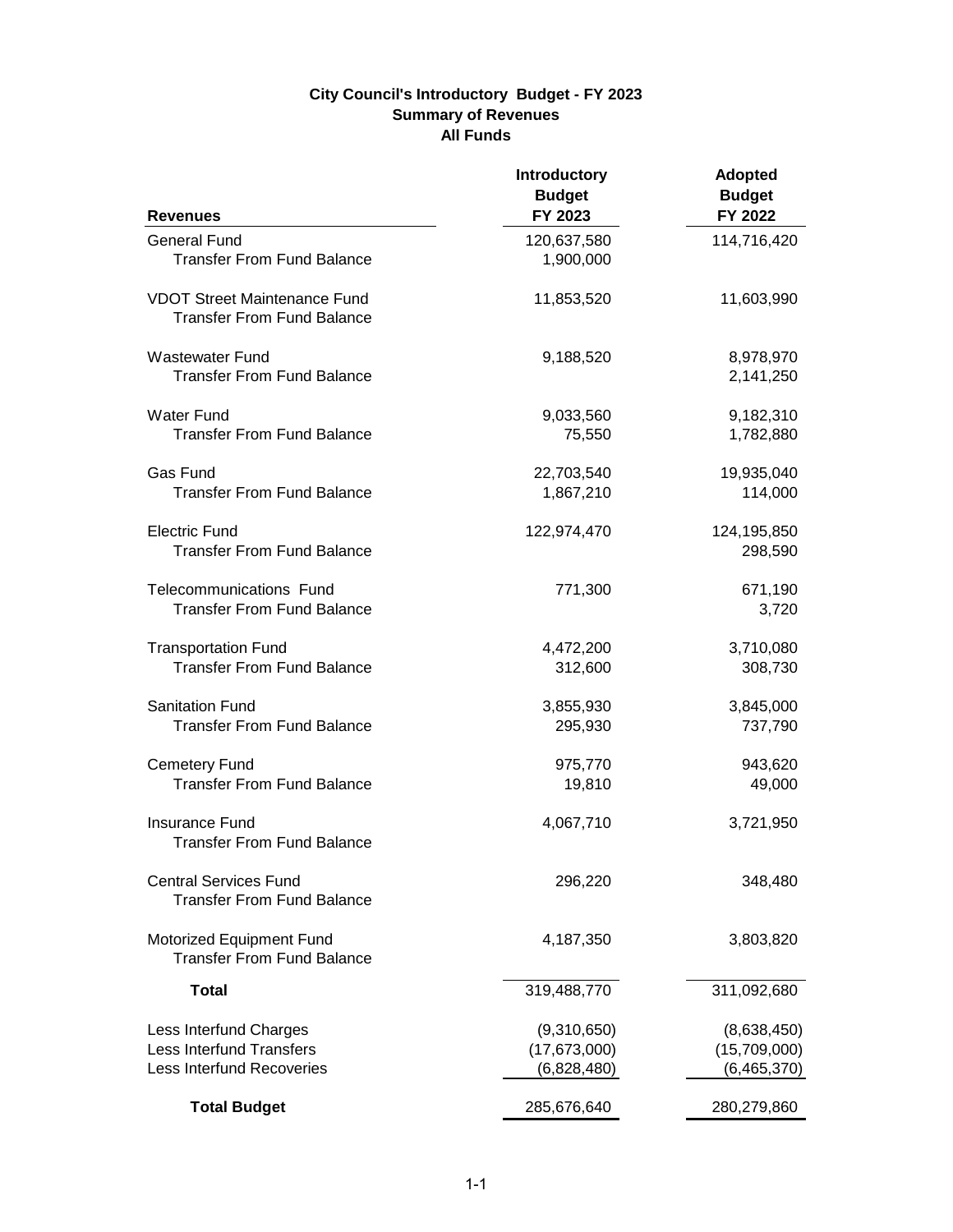## **City Council's Introductory Budget - FY 2023 Summary of Revenues All Funds**

| <b>Revenues</b>                                                          | <b>Introductory</b><br><b>Budget</b><br>FY 2023 | <b>Adopted</b><br><b>Budget</b><br>FY 2022 |
|--------------------------------------------------------------------------|-------------------------------------------------|--------------------------------------------|
| <b>General Fund</b>                                                      | 120,637,580                                     | 114,716,420                                |
| <b>Transfer From Fund Balance</b>                                        | 1,900,000                                       |                                            |
| <b>VDOT Street Maintenance Fund</b><br><b>Transfer From Fund Balance</b> | 11,853,520                                      | 11,603,990                                 |
| <b>Wastewater Fund</b><br><b>Transfer From Fund Balance</b>              | 9,188,520                                       | 8,978,970<br>2,141,250                     |
| <b>Water Fund</b>                                                        | 9,033,560                                       | 9,182,310                                  |
| <b>Transfer From Fund Balance</b>                                        | 75,550                                          | 1,782,880                                  |
| Gas Fund                                                                 | 22,703,540                                      | 19,935,040                                 |
| <b>Transfer From Fund Balance</b>                                        | 1,867,210                                       | 114,000                                    |
| <b>Electric Fund</b><br><b>Transfer From Fund Balance</b>                | 122,974,470                                     | 124,195,850<br>298,590                     |
| Telecommunications Fund<br><b>Transfer From Fund Balance</b>             | 771,300                                         | 671,190<br>3,720                           |
| <b>Transportation Fund</b>                                               | 4,472,200                                       | 3,710,080                                  |
| <b>Transfer From Fund Balance</b>                                        | 312,600                                         | 308,730                                    |
| <b>Sanitation Fund</b>                                                   | 3,855,930                                       | 3,845,000                                  |
| <b>Transfer From Fund Balance</b>                                        | 295,930                                         | 737,790                                    |
| <b>Cemetery Fund</b>                                                     | 975,770                                         | 943,620                                    |
| <b>Transfer From Fund Balance</b>                                        | 19,810                                          | 49,000                                     |
| Insurance Fund<br><b>Transfer From Fund Balance</b>                      | 4,067,710                                       | 3,721,950                                  |
| <b>Central Services Fund</b><br><b>Transfer From Fund Balance</b>        | 296,220                                         | 348,480                                    |
| Motorized Equipment Fund<br><b>Transfer From Fund Balance</b>            | 4,187,350                                       | 3,803,820                                  |
| <b>Total</b>                                                             | 319,488,770                                     | 311,092,680                                |
| Less Interfund Charges                                                   | (9,310,650)                                     | (8,638,450)                                |
| <b>Less Interfund Transfers</b>                                          | (17, 673, 000)                                  | (15,709,000)                               |
| <b>Less Interfund Recoveries</b>                                         | (6,828,480)                                     | (6,465,370)                                |
| <b>Total Budget</b>                                                      | 285,676,640                                     | 280,279,860                                |